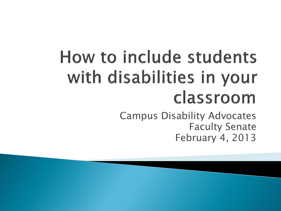## How to include students with disabilities in your classroom

Campus Disability Advocates Faculty Senate February 4, 2013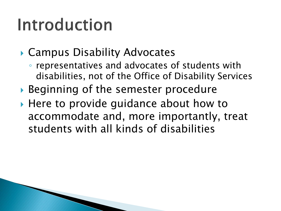#### Introduction

#### ▶ Campus Disability Advocates

- representatives and advocates of students with disabilities, not of the Office of Disability Services
- ▶ Beginning of the semester procedure
- ▶ Here to provide guidance about how to accommodate and, more importantly, treat students with all kinds of disabilities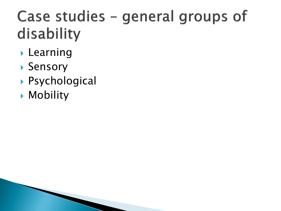#### Case studies - general groups of disability

- **Learning**
- ▶ Sensory
- Psychological
- **Mobility**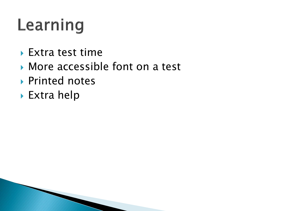## Learning

- ▶ Extra test time
- ▶ More accessible font on a test
- ▶ Printed notes
- ▶ Extra help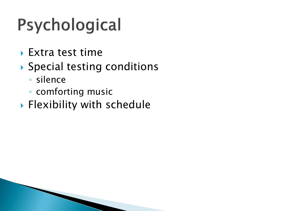# Psychological

- Extra test time
- ▶ Special testing conditions
	- silence
	- comforting music
- **Flexibility with schedule**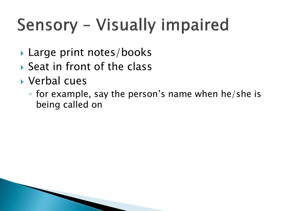# Sensory - Visually impaired

- ▶ Large print notes/books
- $\triangleright$  Seat in front of the class
- Verbal cues
	- for example, say the person's name when he/she is being called on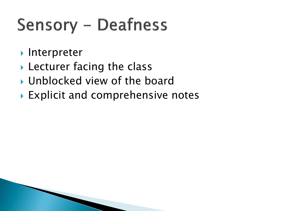## **Sensory - Deafness**

- **Interpreter**
- ▶ Lecturer facing the class
- ▶ Unblocked view of the board
- ▶ Explicit and comprehensive notes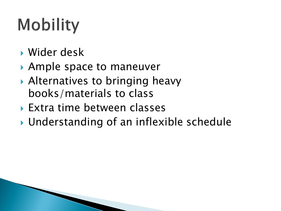# **Mobility**

- Wider desk
- ▶ Ample space to maneuver
- ▶ Alternatives to bringing heavy books/materials to class
- Extra time between classes
- Understanding of an inflexible schedule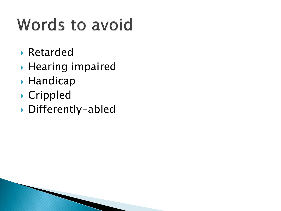## **Words to avoid**

- Retarded
- $\blacktriangleright$  Hearing impaired
- **Handicap**
- Crippled
- Differently-abled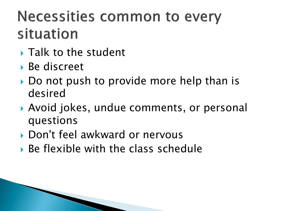#### **Necessities common to every** situation

- **Talk to the student**
- ▶ Be discreet
- Do not push to provide more help than is desired
- Avoid jokes, undue comments, or personal questions
- ▶ Don't feel awkward or nervous
- Be flexible with the class schedule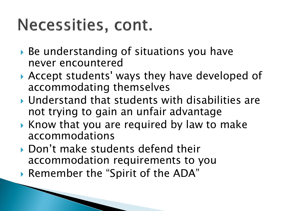#### Necessities, cont.

- ▶ Be understanding of situations you have never encountered
- Accept students' ways they have developed of accommodating themselves
- Understand that students with disabilities are not trying to gain an unfair advantage
- $\triangleright$  Know that you are required by law to make accommodations
- Don't make students defend their accommodation requirements to you
- Remember the "Spirit of the ADA"